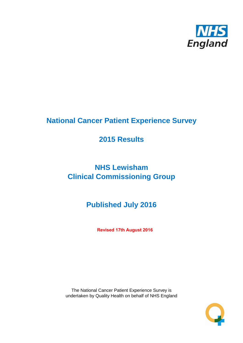

# **National Cancer Patient Experience Survey**

# **2015 Results**

# **NHS Lewisham Clinical Commissioning Group**

# **Published July 2016**

**Revised 17th August 2016**

The National Cancer Patient Experience Survey is undertaken by Quality Health on behalf of NHS England

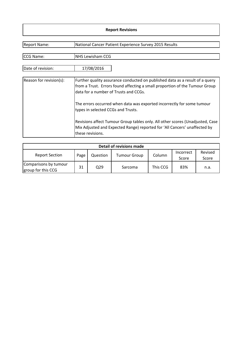#### **Report Revisions**

| <b>Report Name:</b>     | National Cancer Patient Experience Survey 2015 Results                                                                                                                                               |
|-------------------------|------------------------------------------------------------------------------------------------------------------------------------------------------------------------------------------------------|
| CCG Name:               | <b>NHS Lewisham CCG</b>                                                                                                                                                                              |
|                         |                                                                                                                                                                                                      |
| Date of revision:       | 17/08/2016                                                                                                                                                                                           |
| Reason for revision(s): | Further quality assurance conducted on published data as a result of a query<br>from a Trust. Errors found affecting a small proportion of the Tumour Group<br>data for a number of Trusts and CCGs. |
|                         | The errors occurred when data was exported incorrectly for some tumour<br>types in selected CCGs and Trusts.                                                                                         |
|                         | Revisions affect Tumour Group tables only. All other scores (Unadjusted, Case<br>Mix Adjusted and Expected Range) reported for 'All Cancers' unaffected by<br>these revisions.                       |

| Detail of revisions made                    |      |                 |                     |          |                    |                  |  |  |  |  |
|---------------------------------------------|------|-----------------|---------------------|----------|--------------------|------------------|--|--|--|--|
| <b>Report Section</b>                       | Page | Question        | <b>Tumour Group</b> | Column   | Incorrect<br>Score | Revised<br>Score |  |  |  |  |
| Comparisons by tumour<br>group for this CCG | 31   | Q <sub>29</sub> | Sarcoma             | This CCG | 83%                | n.a.             |  |  |  |  |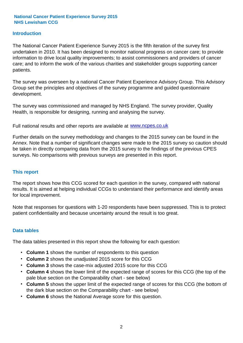#### **Introduction**

The National Cancer Patient Experience Survey 2015 is the fifth iteration of the survey first undertaken in 2010. It has been designed to monitor national progress on cancer care; to provide information to drive local quality improvements; to assist commissioners and providers of cancer care; and to inform the work of the various charities and stakeholder groups supporting cancer patients.

The survey was overseen by a national Cancer Patient Experience Advisory Group. This Advisory Group set the principles and objectives of the survey programme and guided questionnaire development.

The survey was commissioned and managed by NHS England. The survey provider, Quality Health, is responsible for designing, running and analysing the survey.

Full national results and other reports are available at www.ncpes.co.uk

Further details on the survey methodology and changes to the 2015 survey can be found in the Annex. Note that a number of significant changes were made to the 2015 survey so caution should be taken in directly comparing data from the 2015 survey to the findings of the previous CPES surveys. No comparisons with previous surveys are presented in this report.

#### **This report**

The report shows how this CCG scored for each question in the survey, compared with national results. It is aimed at helping individual CCGs to understand their performance and identify areas for local improvement.

Note that responses for questions with 1-20 respondents have been suppressed. This is to protect patient confidentiality and because uncertainty around the result is too great.

#### **Data tables**

The data tables presented in this report show the following for each question:

- **Column 1** shows the number of respondents to this question
- **Column 2** shows the unadjusted 2015 score for this CCG
- **Column 3** shows the case-mix adjusted 2015 score for this CCG
- **Column 4** shows the lower limit of the expected range of scores for this CCG (the top of the pale blue section on the Comparability chart - see below)
- **Column 5** shows the upper limit of the expected range of scores for this CCG (the bottom of the dark blue section on the Comparability chart - see below)
- **Column 6** shows the National Average score for this question.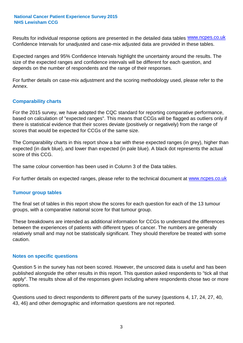Results for individual response options are presented in the detailed data tables **WWW.ncpes.co.uk** Confidence Intervals for unadjusted and case-mix adjusted data are provided in these tables.

Expected ranges and 95% Confidence Intervals highlight the uncertainty around the results. The size of the expected ranges and confidence intervals will be different for each question, and depends on the number of respondents and the range of their responses.

For further details on case-mix adjustment and the scoring methodology used, please refer to the Annex.

#### **Comparability charts**

For the 2015 survey, we have adopted the CQC standard for reporting comparative performance, based on calculation of "expected ranges". This means that CCGs will be flagged as outliers only if there is statistical evidence that their scores deviate (positively or negatively) from the range of scores that would be expected for CCGs of the same size.

The Comparability charts in this report show a bar with these expected ranges (in grey), higher than expected (in dark blue), and lower than expected (in pale blue). A black dot represents the actual score of this CCG.

The same colour convention has been used in Column 3 of the Data tables.

For further details on expected ranges, please refer to the technical document at **www.ncpes.co.uk** 

#### **Tumour group tables**

The final set of tables in this report show the scores for each question for each of the 13 tumour groups, with a comparative national score for that tumour group.

These breakdowns are intended as additional information for CCGs to understand the differences between the experiences of patients with different types of cancer. The numbers are generally relatively small and may not be statistically significant. They should therefore be treated with some caution.

#### **Notes on specific questions**

Question 5 in the survey has not been scored. However, the unscored data is useful and has been published alongside the other results in this report. This question asked respondents to "tick all that apply". The results show all of the responses given including where respondents chose two or more options.

Questions used to direct respondents to different parts of the survey (questions 4, 17, 24, 27, 40, 43, 46) and other demographic and information questions are not reported.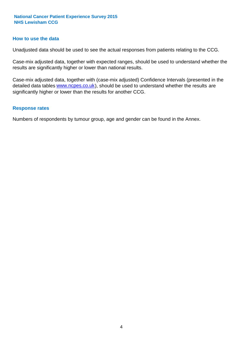#### **How to use the data**

Unadjusted data should be used to see the actual responses from patients relating to the CCG.

Case-mix adjusted data, together with expected ranges, should be used to understand whether the results are significantly higher or lower than national results.

Case-mix adjusted data, together with (case-mix adjusted) Confidence Intervals (presented in the detailed data tables **www.ncpes.co.uk**), should be used to understand whether the results are significantly higher or lower than the results for another CCG.

#### **Response rates**

Numbers of respondents by tumour group, age and gender can be found in the Annex.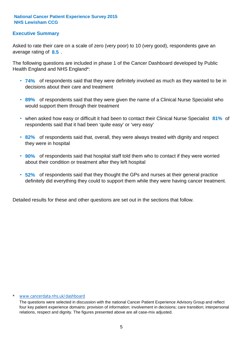## **Executive Summary**

average rating of 8.5. Asked to rate their care on a scale of zero (very poor) to 10 (very good), respondents gave an

The following questions are included in phase 1 of the Cancer Dashboard developed by Public Health England and NHS England\*:

- **74%** of respondents said that they were definitely involved as much as they wanted to be in decisions about their care and treatment
- **89%** of respondents said that they were given the name of a Clinical Nurse Specialist who would support them through their treatment
- when asked how easy or difficult it had been to contact their Clinical Nurse Specialist 81% of respondents said that it had been 'quite easy' or 'very easy'
- **82%** of respondents said that, overall, they were always treated with dignity and respect they were in hospital
- **90%** of respondents said that hospital staff told them who to contact if they were worried about their condition or treatment after they left hospital
- **52%** of respondents said that they thought the GPs and nurses at their general practice definitely did everything they could to support them while they were having cancer treatment.

Detailed results for these and other questions are set out in the sections that follow.

#### www.cancerdata.nhs.uk/dashboard

The questions were selected in discussion with the national Cancer Patient Experience Advisory Group and reflect four key patient experience domains: provision of information; involvement in decisions; care transition; interpersonal relations, respect and dignity. The figures presented above are all case-mix adjusted.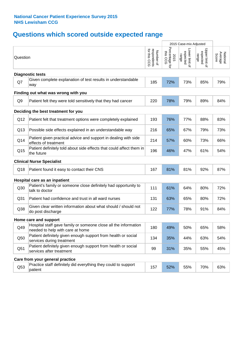# **Questions which scored outside expected range**

|                 |                                                                                                     |                                          |                                    | 2015 Case-mix Adjusted              |                                     |                              |
|-----------------|-----------------------------------------------------------------------------------------------------|------------------------------------------|------------------------------------|-------------------------------------|-------------------------------------|------------------------------|
| Question        |                                                                                                     | respondents<br>for this CCG<br>Number of | Percentage for<br>this CCG<br>2015 | Lower limit of<br>expected<br>range | Upper limit of<br>expected<br>range | Average<br>Score<br>National |
|                 | <b>Diagnostic tests</b>                                                                             |                                          |                                    |                                     |                                     |                              |
| Q7              | Given complete explanation of test results in understandable<br>way                                 | 185                                      | 72%                                | 73%                                 | 85%                                 | 79%                          |
|                 | Finding out what was wrong with you                                                                 |                                          |                                    |                                     |                                     |                              |
| Q <sub>9</sub>  | Patient felt they were told sensitively that they had cancer                                        | 220                                      | 78%                                | 79%                                 | 89%                                 | 84%                          |
|                 | Deciding the best treatment for you                                                                 |                                          |                                    |                                     |                                     |                              |
| Q12             | Patient felt that treatment options were completely explained                                       | 193                                      | 76%                                | 77%                                 | 88%                                 | 83%                          |
| Q13             | Possible side effects explained in an understandable way                                            | 216                                      | 65%                                | 67%                                 | 79%                                 | 73%                          |
| Q14             | Patient given practical advice and support in dealing with side<br>effects of treatment             | 214                                      | 57%                                | 60%                                 | 73%                                 | 66%                          |
| Q15             | Patient definitely told about side effects that could affect them in<br>the future                  | 196                                      | 46%                                | 47%                                 | 61%                                 | 54%                          |
|                 | <b>Clinical Nurse Specialist</b>                                                                    |                                          |                                    |                                     |                                     |                              |
| Q18             | Patient found it easy to contact their CNS                                                          | 167                                      | 81%                                | 81%                                 | 92%                                 | 87%                          |
|                 | Hospital care as an inpatient                                                                       |                                          |                                    |                                     |                                     |                              |
| Q30             | Patient's family or someone close definitely had opportunity to<br>talk to doctor                   | 111                                      | 61%                                | 64%                                 | 80%                                 | 72%                          |
| Q <sub>31</sub> | Patient had confidence and trust in all ward nurses                                                 | 131                                      | 63%                                | 65%                                 | 80%                                 | 72%                          |
| Q38             | Given clear written information about what should / should not<br>do post discharge                 | 122                                      | 77%                                | 78%                                 | 91%                                 | 84%                          |
|                 | Home care and support                                                                               |                                          |                                    |                                     |                                     |                              |
| Q49             | Hospital staff gave family or someone close all the information<br>needed to help with care at home | 180                                      | 49%                                | 50%                                 | 65%                                 | 58%                          |
| Q50             | Patient definitely given enough support from health or social<br>services during treatment          | 134                                      | 35%                                | 44%                                 | 63%                                 | 54%                          |
| Q51             | Patient definitely given enough support from health or social<br>services after treatment           | 99                                       | 31%                                | 35%                                 | 55%                                 | 45%                          |
|                 | Care from your general practice                                                                     |                                          |                                    |                                     |                                     |                              |
| Q53             | Practice staff definitely did everything they could to support<br>patient                           | 157                                      | 52%                                | 55%                                 | 70%                                 | 63%                          |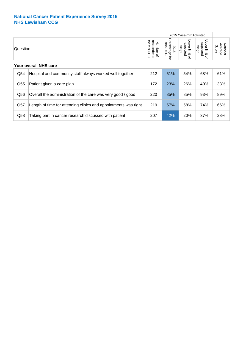|                       |                                                                 |                                             |                                           | 2015 Case-mix Adjusted                                  |                                     |                              |  |  |
|-----------------------|-----------------------------------------------------------------|---------------------------------------------|-------------------------------------------|---------------------------------------------------------|-------------------------------------|------------------------------|--|--|
| Question              |                                                                 | for this<br>respondents<br>Number of<br>CCG | Percentage<br>this<br>2015<br>8<br>ᠺ<br>đ | -ower limit<br>expected<br>range<br>$\overline{\sigma}$ | Upper limit of<br>expected<br>range | Average<br>National<br>Score |  |  |
| Your overall NHS care |                                                                 |                                             |                                           |                                                         |                                     |                              |  |  |
| Q54                   | Hospital and community staff always worked well together        | 212                                         | 51%                                       | 54%                                                     | 68%                                 | 61%                          |  |  |
| Q <sub>55</sub>       | Patient given a care plan                                       | 172                                         | 23%                                       | 26%                                                     | 40%                                 | 33%                          |  |  |
| Q56                   | Overall the administration of the care was very good / good     | 220                                         | 85%                                       | 85%                                                     | 93%                                 | 89%                          |  |  |
| Q57                   | Length of time for attending clinics and appointments was right | 219                                         | 57%                                       | 58%                                                     | 74%                                 | 66%                          |  |  |
| Q58                   | Taking part in cancer research discussed with patient           | 207                                         | 42%                                       | 20%                                                     | 37%                                 | 28%                          |  |  |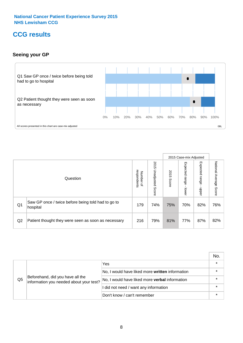## **CCG results**

## **Seeing your GP**



|    |                                                                |                                              |                             |               | 2015 Case-mix Adjusted     |                            |                           |
|----|----------------------------------------------------------------|----------------------------------------------|-----------------------------|---------------|----------------------------|----------------------------|---------------------------|
|    | Question                                                       | respondents<br>Number<br>$\overline{\sigma}$ | 2015<br>Unadjusted<br>Score | 2015<br>Score | Expected<br>range<br>lower | Expected<br>range<br>doper | National Average<br>Score |
| Q1 | Saw GP once / twice before being told had to go to<br>hospital | 179                                          | 74%                         | 75%           | 70%                        | 82%                        | 76%                       |
| Q2 | Patient thought they were seen as soon as necessary            | 216                                          | 79%                         | 81%           | 77%                        | 87%                        | 82%                       |

|    |                                                                             |                                                       | No.     |
|----|-----------------------------------------------------------------------------|-------------------------------------------------------|---------|
|    |                                                                             | Yes                                                   | $\star$ |
|    |                                                                             | No, I would have liked more written information       |         |
| Q5 | Beforehand, did you have all the<br>information you needed about your test? | No, I would have liked more <b>verbal</b> information |         |
|    |                                                                             | I did not need / want any information                 | $\star$ |
|    |                                                                             | Don't know / can't remember                           | $\star$ |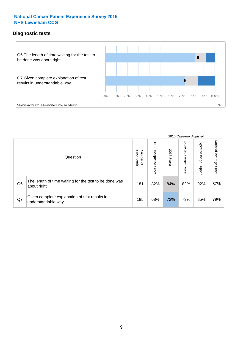## **Diagnostic tests**



|                |                                                                       |                                   |                             |               | 2015 Case-mix Adjusted      |                         |                           |
|----------------|-----------------------------------------------------------------------|-----------------------------------|-----------------------------|---------------|-----------------------------|-------------------------|---------------------------|
|                | Question                                                              | respondents<br>Number<br>$\Omega$ | 2015<br>Unadjusted<br>Score | 2015<br>Score | Expected<br> range<br>lower | Expected range<br>nbber | National Average<br>Score |
| Q <sub>6</sub> | The length of time waiting for the test to be done was<br>about right | 181                               | 82%                         | 84%           | 82%                         | 92%                     | 87%                       |
| Q7             | Given complete explanation of test results in<br>understandable way   | 185                               | 68%                         | 72%           | 73%                         | 85%                     | 79%                       |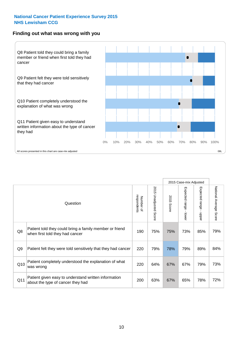#### **Finding out what was wrong with you**



|                |                                                                                            |                          |                                 |                      | 2015 Case-mix Adjusted                    |                                         |                        |
|----------------|--------------------------------------------------------------------------------------------|--------------------------|---------------------------------|----------------------|-------------------------------------------|-----------------------------------------|------------------------|
|                | Question                                                                                   | respondents<br>Number of | 2015<br><b>Unadjusted Score</b> | 2015<br><b>Score</b> | Expected range<br>$\blacksquare$<br>lower | Expected range<br>$\blacksquare$<br>ddo | National Average Score |
| Q8             | Patient told they could bring a family member or friend<br>when first told they had cancer | 190                      | 75%                             | 75%                  | 73%                                       | 85%                                     | 79%                    |
| Q <sub>9</sub> | Patient felt they were told sensitively that they had cancer                               | 220                      | 79%                             | 78%                  | 79%                                       | 89%                                     | 84%                    |
| Q10            | Patient completely understood the explanation of what<br>was wrong                         | 220                      | 64%                             | 67%                  | 67%                                       | 79%                                     | 73%                    |
| Q11            | Patient given easy to understand written information<br>about the type of cancer they had  | 200                      | 63%                             | 67%                  | 65%                                       | 78%                                     | 72%                    |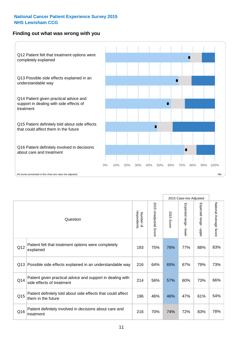### **Finding out what was wrong with you**



|     |                                                                                         |                          |                          |               | 2015 Case-mix Adjusted                  |                           |                        |
|-----|-----------------------------------------------------------------------------------------|--------------------------|--------------------------|---------------|-----------------------------------------|---------------------------|------------------------|
|     | Question                                                                                | Number of<br>respondents | 2015<br>Unadjusted Score | 2015<br>Score | Expected range<br>$\mathbf{r}$<br>lower | Expected range<br>- nbber | National Average Score |
| Q12 | Patient felt that treatment options were completely<br>explained                        | 193                      | 75%                      | 76%           | 77%                                     | 88%                       | 83%                    |
| Q13 | Possible side effects explained in an understandable way                                | 216                      | 64%                      | 65%           | 67%                                     | 79%                       | 73%                    |
| Q14 | Patient given practical advice and support in dealing with<br>side effects of treatment | 214                      | 56%                      | 57%           | 60%                                     | 73%                       | 66%                    |
| Q15 | Patient definitely told about side effects that could affect<br>them in the future      | 196                      | 46%                      | 46%           | 47%                                     | 61%                       | 54%                    |
| Q16 | Patient definitely involved in decisions about care and<br>treatment                    | 216                      | 70%                      | 74%           | 72%                                     | 83%                       | 78%                    |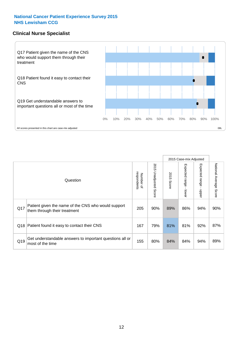#### **Clinical Nurse Specialist**



|     |                                                                                     |                          |                       |               | 2015 Case-mix Adjusted  |                         |                        |  |
|-----|-------------------------------------------------------------------------------------|--------------------------|-----------------------|---------------|-------------------------|-------------------------|------------------------|--|
|     | Question                                                                            | respondents<br>Number of | 2015 Unadjusted Score | 2015<br>Score | Expected range<br>lower | Expected range<br>nbber | National Average Score |  |
| Q17 | Patient given the name of the CNS who would support<br>them through their treatment | 205                      | 90%                   | 89%           | 86%                     | 94%                     | 90%                    |  |
|     | Q18 Patient found it easy to contact their CNS                                      | 167                      | 79%                   | 81%           | 81%                     | 92%                     | 87%                    |  |
| Q19 | Get understandable answers to important questions all or<br>most of the time        | 155                      | 80%                   | 84%           | 84%                     | 94%                     | 89%                    |  |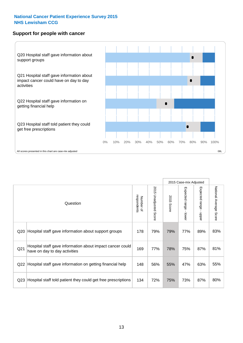#### **Support for people with cancer**



|                 |                                                                                            |                          |                                 |               | 2015 Case-mix Adjusted                    |                        |                        |
|-----------------|--------------------------------------------------------------------------------------------|--------------------------|---------------------------------|---------------|-------------------------------------------|------------------------|------------------------|
|                 | Question                                                                                   | respondents<br>Number of | 2015<br><b>Unadjusted Score</b> | 2015<br>Score | Expected range<br>$\blacksquare$<br>lower | Expected range - upper | National Average Score |
| Q <sub>20</sub> | Hospital staff gave information about support groups                                       | 178                      | 79%                             | 79%           | 77%                                       | 89%                    | 83%                    |
| Q <sub>21</sub> | Hospital staff gave information about impact cancer could<br>have on day to day activities | 169                      | 77%                             | 78%           | 75%                                       | 87%                    | 81%                    |
| Q <sub>22</sub> | Hospital staff gave information on getting financial help                                  | 148                      | 56%                             | 55%           | 47%                                       | 63%                    | 55%                    |
| Q <sub>23</sub> | Hospital staff told patient they could get free prescriptions                              | 134                      | 72%                             | 75%           | 73%                                       | 87%                    | 80%                    |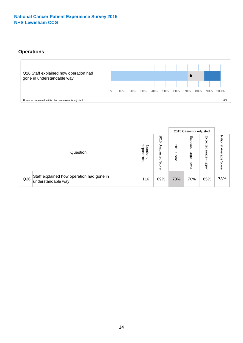## **Operations**



|     |                                                                 |                                         |                             |               |                            | 2015 Case-mix Adjusted    |                              |  |
|-----|-----------------------------------------------------------------|-----------------------------------------|-----------------------------|---------------|----------------------------|---------------------------|------------------------------|--|
|     | Question                                                        | respondents<br>Number<br>$\overline{a}$ | 2015<br>Unadjusted<br>Score | 2015<br>Score | Expected<br>range<br>lower | Expected<br>range<br>ddoe | National<br>Average<br>Score |  |
| Q26 | Staff explained how operation had gone in<br>understandable way | 116                                     | 69%                         | 73%           | 70%                        | 85%                       | 78%                          |  |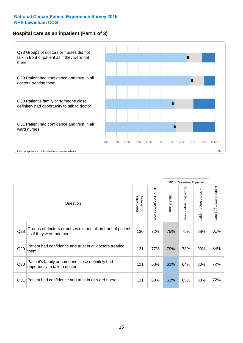## **Hospital care as an inpatient (Part 1 of 3)**



All scores presented in this chart are case-mix adjusted  $08L$ 

|                 |                                                                                           |                          |                       |               | 2015 Case-mix Adjusted                  |                                           |                        |
|-----------------|-------------------------------------------------------------------------------------------|--------------------------|-----------------------|---------------|-----------------------------------------|-------------------------------------------|------------------------|
| Question        |                                                                                           | respondents<br>Number of | 2015 Unadjusted Score | 2015<br>Score | Expected range<br>$\mathbf{r}$<br>lower | Expected range<br>$\blacksquare$<br>nbber | National Average Score |
| Q28             | Groups of doctors or nurses did not talk in front of patient<br>as if they were not there | 130                      | 72%                   | 75%           | 75%                                     | 88%                                       | 81%                    |
| Q29             | Patient had confidence and trust in all doctors treating<br>them                          | 131                      | 77%                   | 79%           | 78%                                     | 90%                                       | 84%                    |
| Q30             | Patient's family or someone close definitely had<br>opportunity to talk to doctor         | 111                      | 60%                   | 61%           | 64%                                     | 80%                                       | 72%                    |
| Q <sub>31</sub> | Patient had confidence and trust in all ward nurses                                       | 131                      | 63%                   | 63%           | 65%                                     | 80%                                       | 72%                    |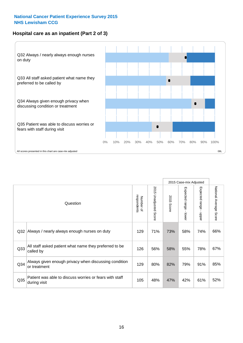## **Hospital care as an inpatient (Part 2 of 3)**



|                 |                                                                         |                          |                          |               |                                           | 2015 Case-mix Adjusted                    |                        |
|-----------------|-------------------------------------------------------------------------|--------------------------|--------------------------|---------------|-------------------------------------------|-------------------------------------------|------------------------|
|                 | Question                                                                | respondents<br>Number of | 2015<br>Unadjusted Score | 2015<br>Score | Expected range<br>$\blacksquare$<br>lower | Expected range<br>$\blacksquare$<br>nbber | National Average Score |
| Q <sub>32</sub> | Always / nearly always enough nurses on duty                            | 129                      | 71%                      | 73%           | 58%                                       | 74%                                       | 66%                    |
| Q <sub>33</sub> | All staff asked patient what name they preferred to be<br>called by     | 126                      | 56%                      | 58%           | 55%                                       | 78%                                       | 67%                    |
| Q <sub>34</sub> | Always given enough privacy when discussing condition<br>or treatment   | 129                      | 80%                      | 82%           | 79%                                       | 91%                                       | 85%                    |
| Q <sub>35</sub> | Patient was able to discuss worries or fears with staff<br>during visit | 105                      | 48%                      | 47%           | 42%                                       | 61%                                       | 52%                    |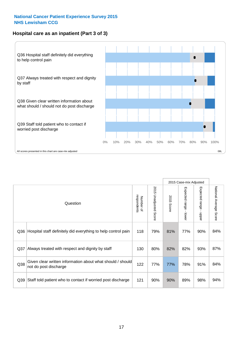## **Hospital care as an inpatient (Part 3 of 3)**



|     |                                                                                     |                          |                                 |               | 2015 Case-mix Adjusted  |                                           |                        |
|-----|-------------------------------------------------------------------------------------|--------------------------|---------------------------------|---------------|-------------------------|-------------------------------------------|------------------------|
|     | Question                                                                            | respondents<br>Number of | 2015<br><b>Unadjusted Score</b> | 2015<br>Score | Expected range<br>lower | Expected range<br>$\blacksquare$<br>nbber | National Average Score |
| Q36 | Hospital staff definitely did everything to help control pain                       | 118                      | 79%                             | 81%           | 77%                     | 90%                                       | 84%                    |
| Q37 | Always treated with respect and dignity by staff                                    | 130                      | 80%                             | 82%           | 82%                     | 93%                                       | 87%                    |
| Q38 | Given clear written information about what should / should<br>not do post discharge | 122                      | 77%                             | 77%           | 78%                     | 91%                                       | 84%                    |
| Q39 | Staff told patient who to contact if worried post discharge                         | 121                      | 90%                             | 90%           | 89%                     | 98%                                       | 94%                    |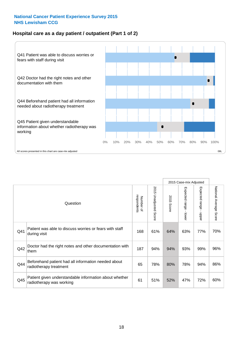## **Hospital care as a day patient / outpatient (Part 1 of 2)**



|          |                                                                                    |                          |                                 |                      | 2015 Case-mix Adjusted                  |                                         |                        |
|----------|------------------------------------------------------------------------------------|--------------------------|---------------------------------|----------------------|-----------------------------------------|-----------------------------------------|------------------------|
| Question |                                                                                    | respondents<br>Number of | 2015<br><b>Unadjusted Score</b> | 2015<br><b>Score</b> | Expected range<br>$\mathbf{r}$<br>lower | Expected range<br>$\mathbf{r}$<br>nbber | National Average Score |
| Q41      | Patient was able to discuss worries or fears with staff<br>during visit            | 168                      | 61%                             | 64%                  | 63%                                     | 77%                                     | 70%                    |
| Q42      | Doctor had the right notes and other documentation with<br>∣them                   | 187                      | 94%                             | 94%                  | 93%                                     | 99%                                     | 96%                    |
| Q44      | Beforehand patient had all information needed about<br>radiotherapy treatment      | 65                       | 78%                             | 80%                  | 78%                                     | 94%                                     | 86%                    |
| Q45      | Patient given understandable information about whether<br>radiotherapy was working | 61                       | 51%                             | 52%                  | 47%                                     | 72%                                     | 60%                    |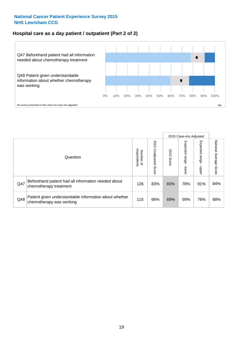### **Hospital care as a day patient / outpatient (Part 2 of 2)**



|     |                                                                                    |                                       |                             |               |                              | 2015 Case-mix Adjusted  |                           |
|-----|------------------------------------------------------------------------------------|---------------------------------------|-----------------------------|---------------|------------------------------|-------------------------|---------------------------|
|     | Question                                                                           | respondents<br>Number<br>$\mathbf{Q}$ | 2015<br>Unadjusted<br>Score | 2015<br>Score | Expected<br>I range<br>lower | Expected range<br>nbber | National Average<br>Score |
| Q47 | Beforehand patient had all information needed about<br>chemotherapy treatment      | 126                                   | 83%                         | 83%           | 78%                          | 91%                     | 84%                       |
| Q48 | Patient given understandable information about whether<br>chemotherapy was working | 115                                   | 66%                         | 69%           | 59%                          | 76%                     | 68%                       |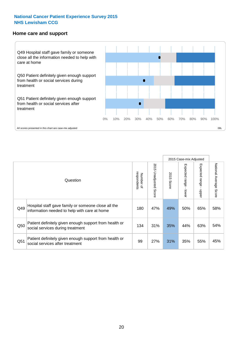#### **Home care and support**



All scores presented in this chart are case-mix adjusted

|                 |                                                                                                     |                          |                       |               |                         | 2015 Case-mix Adjusted  |                                  |  |
|-----------------|-----------------------------------------------------------------------------------------------------|--------------------------|-----------------------|---------------|-------------------------|-------------------------|----------------------------------|--|
|                 | Question                                                                                            | respondents<br>Number of | 2015 Unadjusted Score | 2015<br>Score | Expected range<br>lower | Expected range<br>nbber | National Average<br><b>Score</b> |  |
| Q49             | Hospital staff gave family or someone close all the<br>information needed to help with care at home | 180                      | 47%                   | 49%           | 50%                     | 65%                     | 58%                              |  |
| Q50             | Patient definitely given enough support from health or<br>social services during treatment          | 134                      | 31%                   | 35%           | 44%                     | 63%                     | 54%                              |  |
| Q <sub>51</sub> | Patient definitely given enough support from health or<br>social services after treatment           | 99                       | 27%                   | 31%           | 35%                     | 55%                     | 45%                              |  |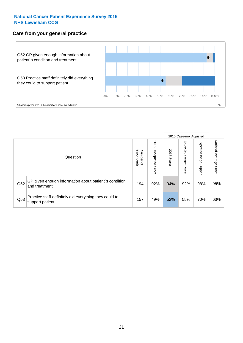#### **Care from your general practice**



|     |                                                                           |                                       |                             |               |                                    | 2015 Case-mix Adjusted     |                           |
|-----|---------------------------------------------------------------------------|---------------------------------------|-----------------------------|---------------|------------------------------------|----------------------------|---------------------------|
|     | Question                                                                  | respondents<br>Number<br>$\mathbf{Q}$ | 2015<br>Unadjusted<br>Score | 2015<br>Score | Expected<br><b>Irange</b><br>lower | Expected<br>range<br>doper | National Average<br>Score |
| Q52 | GP given enough information about patient's condition<br>and treatment    | 194                                   | 92%                         | 94%           | 92%                                | 98%                        | 95%                       |
| Q53 | Practice staff definitely did everything they could to<br>support patient | 157                                   | 49%                         | 52%           | 55%                                | 70%                        | 63%                       |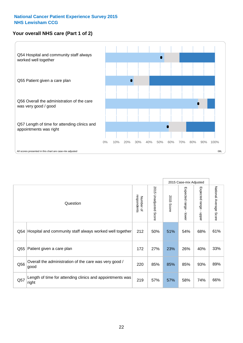## **Your overall NHS care (Part 1 of 2)**



|     |                                                                    |                          |                             |               |                                         | 2015 Case-mix Adjusted                    |                        |
|-----|--------------------------------------------------------------------|--------------------------|-----------------------------|---------------|-----------------------------------------|-------------------------------------------|------------------------|
|     | Question                                                           | respondents<br>Number of | 2015<br>Unadjusted<br>Score | 2015<br>Score | Expected range<br>$\mathbf{r}$<br>lower | Expected range<br>$\blacksquare$<br>nbber | National Average Score |
| Q54 | Hospital and community staff always worked well together           | 212                      | 50%                         | 51%           | 54%                                     | 68%                                       | 61%                    |
| Q55 | Patient given a care plan                                          | 172                      | 27%                         | 23%           | 26%                                     | 40%                                       | 33%                    |
| Q56 | Overall the administration of the care was very good /<br>good     | 220                      | 85%                         | 85%           | 85%                                     | 93%                                       | 89%                    |
| Q57 | Length of time for attending clinics and appointments was<br>right | 219                      | 57%                         | 57%           | 58%                                     | 74%                                       | 66%                    |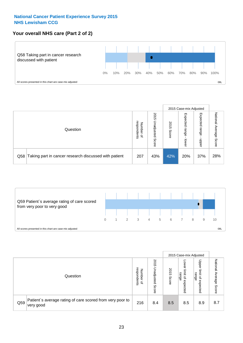## **Your overall NHS care (Part 2 of 2)**



|     |                                                       |                                   |                             |               |                            | 2015 Case-mix Adjusted     |                        |
|-----|-------------------------------------------------------|-----------------------------------|-----------------------------|---------------|----------------------------|----------------------------|------------------------|
|     | Question                                              | respondents<br>Number<br>$\Omega$ | 2015<br>Unadjusted<br>Score | 2015<br>Score | Expected<br>range<br>lower | Expected<br>range<br>nbber | National Average Score |
| Q58 | Taking part in cancer research discussed with patient | 207                               | 43%                         | 42%           | 20%                        | 37%                        | 28%                    |



|     |                                                                        |                                              |                             |               |                                                    | 2015 Case-mix Adjusted                                |                                     |  |
|-----|------------------------------------------------------------------------|----------------------------------------------|-----------------------------|---------------|----------------------------------------------------|-------------------------------------------------------|-------------------------------------|--|
|     | Question                                                               | respondents<br>Number<br>$\overline{\sigma}$ | 2015<br>Unadjusted<br>Score | 2015<br>Score | OWer<br>limit<br>range<br>$\mathbf{a}$<br>expected | Upper<br>limit<br>range<br>$\overline{a}$<br>expected | National<br>Average<br><b>Score</b> |  |
| Q59 | Patient's average rating of care scored from very poor to<br>very good | 216                                          | 8.4                         | 8.5           | 8.5                                                | 8.9                                                   | 8.7                                 |  |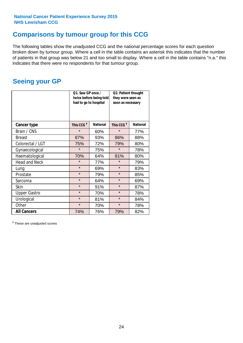## **Comparisons by tumour group for this CCG**

The following tables show the unadjusted CCG and the national percentage scores for each question broken down by tumour group. Where a cell in the table contains an asterisk this indicates that the number of patients in that group was below 21 and too small to display. Where a cell in the table contains "n.a." this indicates that there were no respondents for that tumour group.

## **Seeing your GP**

|                      | Q1. Saw GP once /<br>had to go to hospital | twice before being told | Q2. Patient thought<br>they were seen as<br>soon as necessary |                 |
|----------------------|--------------------------------------------|-------------------------|---------------------------------------------------------------|-----------------|
| <b>Cancer type</b>   | This CCG <sup>\$</sup>                     | <b>National</b>         | This CCG <sup>\$</sup>                                        | <b>National</b> |
| Brain / CNS          | $\star$                                    | 60%                     | $\star$                                                       | 77%             |
| <b>Breast</b>        | 87%                                        | 93%                     | 86%                                                           | 88%             |
| Colorectal / LGT     | 75%                                        | 72%                     | 79%                                                           | 80%             |
| Gynaecological       | $\star$                                    | 75%                     | $\star$                                                       | 78%             |
| Haematological       | 70%                                        | 64%                     | 81%                                                           | 80%             |
| <b>Head and Neck</b> | $\star$                                    | 77%                     | $\star$                                                       | 79%             |
| Lung                 | $\star$                                    | 69%                     | $\star$                                                       | 83%             |
| Prostate             | $\star$                                    | 79%                     | $\star$                                                       | 85%             |
| Sarcoma              | $\star$                                    | 64%                     | $\star$                                                       | 69%             |
| Skin                 | $\star$                                    | 91%                     | $\star$                                                       | 87%             |
| <b>Upper Gastro</b>  | $\star$                                    | 70%                     | $\star$                                                       | 78%             |
| Urological           | $\star$<br>81%                             |                         | $\star$                                                       | 84%             |
| Other                | $\star$                                    | 70%                     | $\star$                                                       | 78%             |
| <b>All Cancers</b>   | 74%                                        | 76%                     | 79%                                                           | 82%             |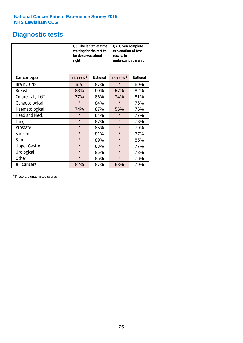# **Diagnostic tests**

|                      | be done was about<br>right | Q6. The length of time<br>waiting for the test to | Q7. Given complete<br>explanation of test<br>results in<br>understandable way |                 |  |  |
|----------------------|----------------------------|---------------------------------------------------|-------------------------------------------------------------------------------|-----------------|--|--|
| <b>Cancer type</b>   | This CCG <sup>\$</sup>     | <b>National</b>                                   | This CCG <sup>\$</sup>                                                        | <b>National</b> |  |  |
| Brain / CNS          | n.a.                       | 87%                                               | $\star$                                                                       | 69%             |  |  |
| <b>Breast</b>        | 83%                        | 90%                                               | 57%                                                                           | 82%             |  |  |
| Colorectal / LGT     | 77%                        | 86%                                               | 74%                                                                           | 81%             |  |  |
| Gynaecological       | $\star$                    | 84%                                               |                                                                               | 76%             |  |  |
| Haematological       | 74%                        | 87%                                               | 56%                                                                           | 76%             |  |  |
| <b>Head and Neck</b> | $\star$                    | 84%                                               | $\star$                                                                       | 77%             |  |  |
| Lung                 | $\star$                    | 87%                                               | $\star$                                                                       | 78%             |  |  |
| Prostate             | $\star$                    | 85%                                               | $\star$                                                                       | 79%             |  |  |
| Sarcoma              | $\star$                    | 81%                                               | $\star$                                                                       | 77%             |  |  |
| Skin                 | $\star$                    | 89%                                               | $\star$                                                                       | 85%             |  |  |
| <b>Upper Gastro</b>  | $\star$                    | 83%                                               | $\star$                                                                       | 77%             |  |  |
| Urological           | $\star$                    | 85%                                               | $\star$                                                                       | 78%             |  |  |
| Other                | $\star$                    | 85%                                               | $\star$                                                                       | 76%             |  |  |
| <b>All Cancers</b>   | 82%                        | 87%                                               | 68%                                                                           | 79%             |  |  |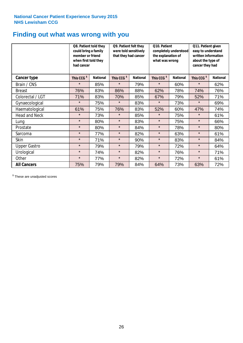## **Finding out what was wrong with you**

|                      | Q8. Patient told they<br>could bring a family<br>member or friend<br>when first told they<br>had cancer |                 | Q9. Patient felt they<br>were told sensitively<br>that they had cancer |                 | Q10. Patient<br>completely understood<br>the explanation of<br>what was wrong |                 | Q11. Patient given<br>easy to understand<br>written information<br>about the type of<br>cancer they had |                 |
|----------------------|---------------------------------------------------------------------------------------------------------|-----------------|------------------------------------------------------------------------|-----------------|-------------------------------------------------------------------------------|-----------------|---------------------------------------------------------------------------------------------------------|-----------------|
| Cancer type          | This CCG <sup>\$</sup>                                                                                  | <b>National</b> | This CCG <sup>\$</sup>                                                 | <b>National</b> | This CCG <sup>\$</sup>                                                        | <b>National</b> | This CCG <sup>\$</sup>                                                                                  | <b>National</b> |
| Brain / CNS          | $\star$                                                                                                 | 85%             | $\star$                                                                | 79%             | $\star$                                                                       | 60%             | $\star$                                                                                                 | 62%             |
| <b>Breast</b>        | 76%                                                                                                     | 83%             | 86%                                                                    | 88%             | 62%                                                                           | 78%             | 74%                                                                                                     | 76%             |
| Colorectal / LGT     | 71%                                                                                                     | 83%             | 70%                                                                    | 85%             | 67%                                                                           | 79%             | 52%                                                                                                     | 71%             |
| Gynaecological       | $\star$                                                                                                 | 75%             | $\star$                                                                | 83%             | $\star$                                                                       | 73%             | $\star$                                                                                                 | 69%             |
| Haematological       | 61%                                                                                                     | 75%             | 76%                                                                    | 83%             | 52%                                                                           | 60%             | 47%                                                                                                     | 74%             |
| <b>Head and Neck</b> | $\star$                                                                                                 | 73%             | $\star$                                                                | 85%             | $\star$                                                                       | 75%             | $\star$                                                                                                 | 61%             |
| Lung                 | $\star$                                                                                                 | 80%             | $\star$                                                                | 83%             | $\star$                                                                       | 75%             | $\star$                                                                                                 | 66%             |
| Prostate             | $\star$                                                                                                 | 80%             | $\star$                                                                | 84%             | $\star$                                                                       | 78%             | $\star$                                                                                                 | 80%             |
| Sarcoma              | $\star$                                                                                                 | 77%             | $\star$                                                                | 82%             | $\star$                                                                       | 63%             | $\star$                                                                                                 | 61%             |
| Skin                 | $\star$                                                                                                 | 71%             | $\star$                                                                | 90%             | $\star$                                                                       | 83%             | $\star$                                                                                                 | 84%             |
| <b>Upper Gastro</b>  | $\star$                                                                                                 | 79%             | $\star$                                                                | 79%             | $\star$                                                                       | 72%             | $\star$                                                                                                 | 64%             |
| Urological           | $\star$                                                                                                 | 74%             | $\star$                                                                | 82%             | $\star$                                                                       | 76%             | $\star$                                                                                                 | 71%             |
| Other                | $\star$                                                                                                 | 77%             | $\star$                                                                | 82%             | $\star$                                                                       | 72%             | $\star$                                                                                                 | 61%             |
| <b>All Cancers</b>   | 75%                                                                                                     | 79%             | 79%                                                                    | 84%             | 64%                                                                           | 73%             | 63%                                                                                                     | 72%             |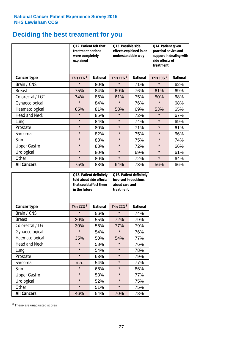# **Deciding the best treatment for you**

|                      | explained              | Q12. Patient felt that<br>treatment options<br>were completely |                                           | Q13. Possible side<br>effects explained in an<br>understandable way | Q14. Patient given<br>practical advice and<br>support in dealing with<br>side effects of<br>treatment |                 |  |
|----------------------|------------------------|----------------------------------------------------------------|-------------------------------------------|---------------------------------------------------------------------|-------------------------------------------------------------------------------------------------------|-----------------|--|
| <b>Cancer type</b>   | This CCG <sup>\$</sup> | <b>National</b>                                                | This CCG <sup>\$</sup><br><b>National</b> |                                                                     | This CCG <sup>\$</sup>                                                                                | <b>National</b> |  |
| Brain / CNS          | $\star$                | 80%                                                            | $\star$                                   | 71%                                                                 | $\star$                                                                                               | 62%             |  |
| <b>Breast</b>        | 75%                    | 84%                                                            | 60%                                       | 76%                                                                 | 61%                                                                                                   | 69%             |  |
| Colorectal / LGT     | 74%                    | 85%                                                            | 61%                                       | 75%                                                                 | 50%                                                                                                   | 68%             |  |
| Gynaecological       | $\star$                | 84%                                                            | $\star$                                   | 76%                                                                 | $\star$                                                                                               | 68%             |  |
| Haematological       | 65%                    | 81%                                                            | 58%                                       | 69%                                                                 | 53%                                                                                                   | 65%             |  |
| <b>Head and Neck</b> | $\star$                | 85%                                                            | $\star$                                   | 72%                                                                 | $\star$                                                                                               | 67%             |  |
| Lung                 | $\star$                | 84%                                                            | $\star$                                   | 74%                                                                 | $\star$                                                                                               | 69%             |  |
| Prostate             | $\star$                | 80%                                                            | $\star$                                   | 71%                                                                 | $\star$                                                                                               | 61%             |  |
| Sarcoma              | $\star$                | 82%                                                            | $\star$                                   | 75%                                                                 | $\star$                                                                                               | 66%             |  |
| Skin                 | $\star$                | 88%                                                            | $\star$                                   | 75%                                                                 | $\star$                                                                                               | 74%             |  |
| <b>Upper Gastro</b>  | $\star$                | 83%                                                            | $\star$                                   | 72%                                                                 | $\star$                                                                                               | 66%             |  |
| Urological           | $\star$                | 80%                                                            | $\star$                                   | 69%                                                                 | $\star$                                                                                               | 61%             |  |
| Other                | $\star$                | 80%                                                            | $\star$                                   | 72%                                                                 | $\star$                                                                                               | 64%             |  |
| <b>All Cancers</b>   | 75%                    | 83%                                                            | 64%                                       | 73%                                                                 | 56%                                                                                                   | 66%             |  |

|                      | in the future          | Q15. Patient definitely<br>told about side effects<br>that could affect them | Q16. Patient definitely<br>involved in decisions<br>about care and<br>treatment |                 |  |
|----------------------|------------------------|------------------------------------------------------------------------------|---------------------------------------------------------------------------------|-----------------|--|
| <b>Cancer type</b>   | This CCG <sup>\$</sup> | <b>National</b>                                                              | This CCG <sup>\$</sup>                                                          | <b>National</b> |  |
| Brain / CNS          | $\star$                | 56%                                                                          | $\star$                                                                         | 74%             |  |
| <b>Breast</b>        | 30%                    | 55%                                                                          | 72%                                                                             | 79%             |  |
| Colorectal / LGT     | 30%                    | 56%                                                                          | 77%                                                                             | 79%             |  |
| Gynaecological       | $\star$<br>54%         |                                                                              | $\star$                                                                         | 76%             |  |
| Haematological       | 35%                    | 50%                                                                          | 54%                                                                             | 77%             |  |
| <b>Head and Neck</b> | $\star$                | 58%                                                                          | $\star$                                                                         | 76%             |  |
| Lung                 | $\star$                | 54%                                                                          | $\star$                                                                         | 78%             |  |
| Prostate             | $\star$                | 63%                                                                          | $\star$                                                                         | 79%             |  |
| Sarcoma              | n.a.                   | 54%                                                                          | $\star$                                                                         | 77%             |  |
| Skin                 | $\star$                | 66%                                                                          | $\star$                                                                         | 86%             |  |
| <b>Upper Gastro</b>  | $\star$                | 53%                                                                          | $\star$                                                                         | 77%             |  |
| Urological           | $\star$                | 52%                                                                          | $\star$                                                                         | 75%             |  |
| Other                | $\star$                | 51%                                                                          | $\star$                                                                         | 75%             |  |
| <b>All Cancers</b>   | 46%                    | 54%                                                                          | 70%                                                                             | 78%             |  |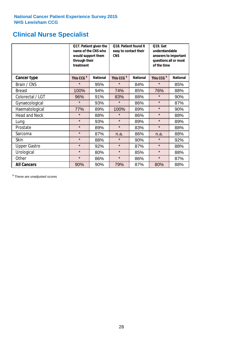## **Clinical Nurse Specialist**

|                      | would support them<br>through their<br>treatment | Q17. Patient given the<br>name of the CNS who | Q18. Patient found it<br>easy to contact their<br><b>CNS</b> |                 | <b>Q19. Get</b><br>understandable<br>answers to important<br>questions all or most<br>of the time |                 |  |
|----------------------|--------------------------------------------------|-----------------------------------------------|--------------------------------------------------------------|-----------------|---------------------------------------------------------------------------------------------------|-----------------|--|
| <b>Cancer type</b>   | This CCG <sup>\$</sup>                           | <b>National</b>                               | This CCG <sup>\$</sup>                                       | <b>National</b> | This CCG <sup>\$</sup>                                                                            | <b>National</b> |  |
| Brain / CNS          | $\star$                                          | 95%                                           | $\star$                                                      | 84%             | $\star$                                                                                           | 85%             |  |
| <b>Breast</b>        | 100%                                             | 94%                                           | 74%                                                          | 85%             | 76%                                                                                               | 88%             |  |
| Colorectal / LGT     | 96%                                              | 91%                                           | 83%                                                          | 88%             | $\star$                                                                                           | 90%             |  |
| Gynaecological       | $\star$                                          | 93%                                           | $\star$                                                      | 86%             | $\star$                                                                                           | 87%             |  |
| Haematological       | 77%                                              | 89%                                           | 100%                                                         | 89%             | $\star$                                                                                           | 90%             |  |
| <b>Head and Neck</b> | $\star$                                          | 88%                                           | $\star$                                                      | 86%             | $\star$                                                                                           | 88%             |  |
| Lung                 | $\star$                                          | 93%                                           | $\star$                                                      | 89%             | $\star$                                                                                           | 89%             |  |
| Prostate             | $\star$                                          | 89%                                           | $\star$                                                      | 83%             | $\star$                                                                                           | 88%             |  |
| Sarcoma              | $\star$                                          | 87%                                           | n.a.                                                         | 86%             | n.a.                                                                                              | 88%             |  |
| Skin                 | $\star$                                          | 88%                                           | $\star$                                                      | 90%             | $\star$                                                                                           | 92%             |  |
| <b>Upper Gastro</b>  | $\star$                                          | 92%                                           | $\star$                                                      | 87%             | $\star$                                                                                           | 88%             |  |
| Urological           | $\star$                                          | 80%                                           | $\star$                                                      | 85%             | $\star$                                                                                           | 88%             |  |
| Other                | $\star$                                          | 86%                                           | $\star$                                                      | 86%             | $\star$                                                                                           | 87%             |  |
| <b>All Cancers</b>   | 90%                                              | 90%                                           | 79%                                                          | 87%             | 80%                                                                                               | 88%             |  |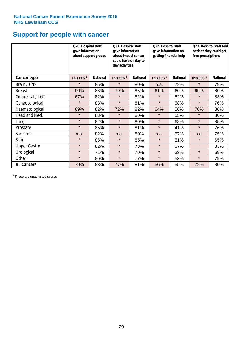## **Support for people with cancer**

|                      | Q20. Hospital staff<br>gave information | about support groups | Q21. Hospital staff<br>gave information<br>about impact cancer<br>could have on day to<br>day activities |                 | Q22. Hospital staff<br>gave information on<br>getting financial help |                 | Q23. Hospital staff told<br>patient they could get<br>free prescriptions |                 |
|----------------------|-----------------------------------------|----------------------|----------------------------------------------------------------------------------------------------------|-----------------|----------------------------------------------------------------------|-----------------|--------------------------------------------------------------------------|-----------------|
| Cancer type          | This CCG <sup>\$</sup>                  | <b>National</b>      | This CCG <sup>\$</sup>                                                                                   | <b>National</b> | This CCG <sup>\$</sup>                                               | <b>National</b> | This CCG <sup>\$</sup>                                                   | <b>National</b> |
| Brain / CNS          | $\star$                                 | 85%                  | $\star$                                                                                                  | 80%             | n.a.                                                                 | 72%             | $\star$                                                                  | 79%             |
| <b>Breast</b>        | 90%                                     | 88%                  | 79%                                                                                                      | 85%             | 61%                                                                  | 60%             | 69%                                                                      | 80%             |
| Colorectal / LGT     | 67%                                     | 82%                  | $\star$                                                                                                  | 82%             | $\star$                                                              | 52%             | $\star$                                                                  | 83%             |
| Gynaecological       | $\star$                                 | 83%                  | $\star$                                                                                                  | 81%             | $\star$                                                              | 58%             | $\star$                                                                  | 76%             |
| Haematological       | 69%                                     | 82%                  | 72%                                                                                                      | 82%             | 64%                                                                  | 56%             | 70%                                                                      | 86%             |
| <b>Head and Neck</b> | $\star$                                 | 83%                  | $\star$                                                                                                  | 80%             | $\star$                                                              | 55%             | $\star$                                                                  | 80%             |
| Lung                 | $\star$                                 | 82%                  | $\star$                                                                                                  | 80%             | $\star$                                                              | 68%             | $\star$                                                                  | 85%             |
| Prostate             | $\star$                                 | 85%                  | $\star$                                                                                                  | 81%             | $\star$                                                              | 41%             | $\star$                                                                  | 76%             |
| Sarcoma              | n.a.                                    | 82%                  | n.a.                                                                                                     | 80%             | n.a.                                                                 | 57%             | n.a.                                                                     | 75%             |
| Skin                 | $\star$                                 | 85%                  | $\star$                                                                                                  | 85%             | $\star$                                                              | 51%             | $\star$                                                                  | 65%             |
| <b>Upper Gastro</b>  | $\star$                                 | 82%                  | $\star$                                                                                                  | 78%             | $\star$                                                              | 57%             | $\star$                                                                  | 83%             |
| Urological           | $\star$                                 | 71%                  | $\star$                                                                                                  | 70%             | $\star$                                                              | 33%             | $\star$                                                                  | 69%             |
| Other                | $\star$                                 | 80%                  | $\star$                                                                                                  | 77%             | $\star$                                                              | 53%             | $\star$                                                                  | 79%             |
| <b>All Cancers</b>   | 79%                                     | 83%                  | 77%                                                                                                      | 81%             | 56%                                                                  | 55%             | 72%                                                                      | 80%             |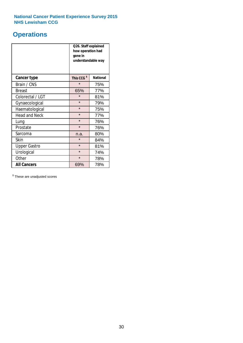## **Operations**

|                      | Q26. Staff explained<br>how operation had<br>gone in<br>understandable way |                 |  |  |
|----------------------|----------------------------------------------------------------------------|-----------------|--|--|
| <b>Cancer type</b>   | This CCG <sup>\$</sup>                                                     | <b>National</b> |  |  |
| Brain / CNS          | $\star$                                                                    | 75%             |  |  |
| <b>Breast</b>        | 65%                                                                        | 77%             |  |  |
| Colorectal / LGT     | $\star$                                                                    | 81%             |  |  |
| Gynaecological       | $\star$<br>79%                                                             |                 |  |  |
| Haematological       | $\star$<br>75%                                                             |                 |  |  |
| <b>Head and Neck</b> | $\star$                                                                    | 77%             |  |  |
| Lung                 | $\star$                                                                    | 76%             |  |  |
| Prostate             | $\star$                                                                    | 76%             |  |  |
| Sarcoma              | n.a.                                                                       | 80%             |  |  |
| Skin                 | $\star$                                                                    | 84%             |  |  |
| <b>Upper Gastro</b>  | $\star$                                                                    | 81%             |  |  |
| Urological           | $\star$                                                                    | 74%             |  |  |
| Other                | $\star$<br>78%                                                             |                 |  |  |
| <b>All Cancers</b>   | 69%                                                                        | 78%             |  |  |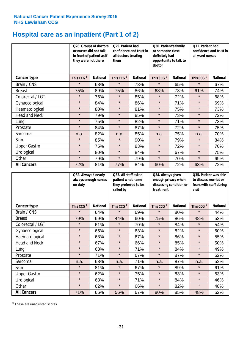# **Hospital care as an inpatient (Part 1 of 2)**

|                      | or nurses did not talk<br>they were not there | Q28. Groups of doctors<br>in front of patient as if | Q29. Patient had<br>confidence and trust in<br>all doctors treating<br>them |                 | Q30. Patient's family<br>or someone close<br>definitely had<br>opportunity to talk to<br>doctor |                 | Q31. Patient had<br>confidence and trust in I<br>all ward nurses |                 |
|----------------------|-----------------------------------------------|-----------------------------------------------------|-----------------------------------------------------------------------------|-----------------|-------------------------------------------------------------------------------------------------|-----------------|------------------------------------------------------------------|-----------------|
| Cancer type          | This CCG <sup>\$</sup>                        | <b>National</b>                                     | This CCG <sup>\$</sup>                                                      | <b>National</b> | This CCG <sup>\$</sup>                                                                          | <b>National</b> | This CCG <sup>\$</sup>                                           | <b>National</b> |
| Brain / CNS          | $\star$                                       | 68%                                                 | $\star$                                                                     | 78%             | $\star$                                                                                         | 65%             | $\star$                                                          | 67%             |
| <b>Breast</b>        | 75%                                           | 89%                                                 | 75%                                                                         | 86%             | 68%                                                                                             | 73%             | 61%                                                              | 74%             |
| Colorectal / LGT     | $\star$                                       | 75%                                                 | $\star$                                                                     | 85%             | $\star$                                                                                         | 72%             | $\star$                                                          | 68%             |
| Gynaecological       | $\star$                                       | 84%                                                 | $\star$                                                                     | 86%             | $\star$                                                                                         | 71%             | $\star$                                                          | 69%             |
| Haematological       | $\star$                                       | 80%                                                 | $\star$                                                                     | 81%             | $\star$                                                                                         | 75%             | $\star$                                                          | 73%             |
| <b>Head and Neck</b> | $\star$                                       | 79%                                                 | $\star$                                                                     | 85%             | $\star$                                                                                         | 73%             | $\star$                                                          | 72%             |
| Lung                 | $\star$                                       | 75%                                                 | $\star$                                                                     | 82%             | $\star$                                                                                         | 71%             | $\star$                                                          | 73%             |
| Prostate             | $\star$                                       | 84%                                                 | $\star$                                                                     | 87%             | $\star$                                                                                         | 72%             | $\star$                                                          | 75%             |
| Sarcoma              | n.a.                                          | 82%                                                 | n.a.                                                                        | 85%             | n.a.                                                                                            | 75%             | n.a.                                                             | 70%             |
| Skin                 | $\star$                                       | 85%                                                 | $\star$                                                                     | 90%             | $\star$                                                                                         | 79%             | $\star$                                                          | 84%             |
| <b>Upper Gastro</b>  | $\star$                                       | 75%                                                 | $\star$                                                                     | 83%             | $\star$                                                                                         | 72%             | $\star$                                                          | 70%             |
| Urological           | $\star$                                       | 80%                                                 | $\star$                                                                     | 84%             | $\star$                                                                                         | 67%             | $\star$                                                          | 75%             |
| Other                | $\star$                                       | 79%                                                 | $\star$                                                                     | 79%             | $\star$                                                                                         | 70%             | $\star$                                                          | 69%             |
| <b>All Cancers</b>   | 72%                                           | 81%                                                 | 77%                                                                         | 84%             | 60%                                                                                             | 72%             | 63%                                                              | 72%             |

|                      | Q32. Always / nearly<br>on duty | always enough nurses | Q33. All staff asked<br>patient what name<br>they preferred to be<br>called by |                 | Q34. Always given<br>treatment | enough privacy when<br>discussing condition or | Q35. Patient was able<br>to discuss worries or<br>fears with staff during<br>visit |                 |
|----------------------|---------------------------------|----------------------|--------------------------------------------------------------------------------|-----------------|--------------------------------|------------------------------------------------|------------------------------------------------------------------------------------|-----------------|
| <b>Cancer type</b>   | This CCG <sup>\$</sup>          | <b>National</b>      | This CCG <sup>\$</sup>                                                         | <b>National</b> | This CCG <sup>\$</sup>         | <b>National</b>                                | This CCG <sup>\$</sup>                                                             | <b>National</b> |
| Brain / CNS          | $\star$                         | 64%                  | $\star$                                                                        | 69%             | $\star$                        | 80%                                            | $\star$                                                                            | 44%             |
| <b>Breast</b>        | 79%                             | 69%                  | 44%                                                                            | 60%             | 75%                            | 86%                                            | 48%                                                                                | 53%             |
| Colorectal / LGT     | $\star$                         | 61%                  | $\star$                                                                        | 70%             | $\star$                        | 84%                                            | $\star$                                                                            | 54%             |
| Gynaecological       | $\star$                         | 65%                  | $\star$                                                                        | 63%             | $\star$                        | 82%                                            | $\star$                                                                            | 50%             |
| Haematological       | $\star$                         | 63%                  | $\star$                                                                        | 67%             | $\star$                        | 86%                                            | $\star$                                                                            | 55%             |
| <b>Head and Neck</b> | $\star$                         | 67%                  | $\star$                                                                        | 66%             | $\star$                        | 85%                                            | $\star$                                                                            | 50%             |
| Lung                 | $\star$                         | 68%                  | $\star$                                                                        | 71%             | $\star$                        | 84%                                            | $\star$                                                                            | 49%             |
| Prostate             | $\star$                         | 71%                  | $\star$                                                                        | 67%             | $\star$                        | 87%                                            | $\star$                                                                            | 52%             |
| Sarcoma              | n.a.                            | 68%                  | n.a.                                                                           | 71%             | n.a.                           | 87%                                            | n.a.                                                                               | 52%             |
| Skin                 | $\star$                         | 81%                  | $\star$                                                                        | 67%             | $\star$                        | 89%                                            | $\star$                                                                            | 61%             |
| <b>Upper Gastro</b>  | $\star$                         | 62%                  | $\star$                                                                        | 75%             | $\star$                        | 83%                                            | $\star$                                                                            | 53%             |
| Urological           | $\star$                         | 68%                  | $\star$                                                                        | 71%             | $\star$                        | 84%                                            | $\star$                                                                            | 46%             |
| Other                | $\star$                         | 62%                  | $\star$                                                                        | 66%             | $\star$                        | 82%                                            | $\star$                                                                            | 48%             |
| <b>All Cancers</b>   | 71%                             | 66%                  | 56%                                                                            | 67%             | 80%                            | 85%                                            | 48%                                                                                | 52%             |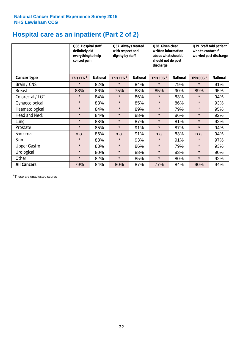# **Hospital care as an inpatient (Part 2 of 2)**

|                      | Q36. Hospital staff<br>definitely did<br>everything to help<br>control pain |                 | Q37. Always treated<br>with respect and<br>dignity by staff |                 | Q38. Given clear<br>written information<br>about what should /<br>should not do post<br>discharge |                 | Q39. Staff told patient<br>who to contact if<br>worried post discharge |                 |  |
|----------------------|-----------------------------------------------------------------------------|-----------------|-------------------------------------------------------------|-----------------|---------------------------------------------------------------------------------------------------|-----------------|------------------------------------------------------------------------|-----------------|--|
| Cancer type          | This CCG <sup>\$</sup>                                                      | <b>National</b> | This CCG <sup>\$</sup>                                      | <b>National</b> | This CCG <sup>\$</sup>                                                                            | <b>National</b> | This CCG <sup>\$</sup>                                                 | <b>National</b> |  |
| Brain / CNS          | $\star$                                                                     | 82%             | $\star$                                                     | 84%             | $\star$                                                                                           | 79%             | $\star$                                                                | 91%             |  |
| <b>Breast</b>        | 88%                                                                         | 86%             | 75%                                                         | 88%             | 85%                                                                                               | 90%             | 89%                                                                    | 95%             |  |
| Colorectal / LGT     | $\star$                                                                     | 84%             | $\star$                                                     | 86%             | $\star$                                                                                           | 83%             | $\star$                                                                | 94%             |  |
| Gynaecological       | $\star$                                                                     | 83%             | $\star$                                                     | 85%             | $\star$                                                                                           | 86%             | $\star$                                                                | 93%             |  |
| Haematological       | $\star$                                                                     | 84%             | $\star$                                                     | 89%             | $\star$                                                                                           | 79%             | $\star$                                                                | 95%             |  |
| <b>Head and Neck</b> | $\star$                                                                     | 84%             | $\star$                                                     | 88%             | $\star$                                                                                           | 86%             | $\star$                                                                | 92%             |  |
| Lung                 | $\star$                                                                     | 83%             | $\star$                                                     | 87%             | $\star$                                                                                           | 81%             | $\star$                                                                | 92%             |  |
| Prostate             | $\star$                                                                     | 85%             | $\star$                                                     | 91%             | $\star$                                                                                           | 87%             | $\star$                                                                | 94%             |  |
| Sarcoma              | n.a.                                                                        | 86%             | n.a.                                                        | 91%             | n.a.                                                                                              | 83%             | n.a.                                                                   | 94%             |  |
| Skin                 | $\star$                                                                     | 88%             | $\star$                                                     | 93%             | $\star$                                                                                           | 91%             | $\star$                                                                | 97%             |  |
| <b>Upper Gastro</b>  | $\star$                                                                     | 83%             | $\star$                                                     | 86%             | $\star$                                                                                           | 79%             | $\star$                                                                | 93%             |  |
| Urological           | $\star$                                                                     | 80%             | $\star$                                                     | 88%             | $\star$                                                                                           | 83%             | $\star$                                                                | 90%             |  |
| Other                | $\star$                                                                     | 82%             | $\star$                                                     | 85%             | $\star$                                                                                           | 80%             | $\star$                                                                | 92%             |  |
| <b>All Cancers</b>   | 79%                                                                         | 84%             | 80%                                                         | 87%             | 77%                                                                                               | 84%             | 90%                                                                    | 94%             |  |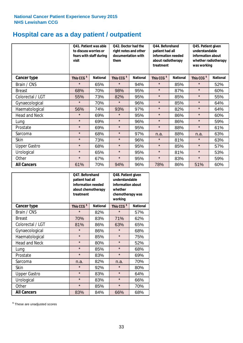# **Hospital care as a day patient / outpatient**

|                      | to discuss worries or<br>visit | Q41. Patient was able<br>fears with staff during | Q42. Doctor had the<br>right notes and other<br>documentation with<br>them |                 | Q44. Beforehand<br>patient had all<br>information needed<br>about radiotherapy<br>treatment |                 | Q45. Patient given<br>understandable<br>information about<br>whether radiotherapy<br>was working |                 |
|----------------------|--------------------------------|--------------------------------------------------|----------------------------------------------------------------------------|-----------------|---------------------------------------------------------------------------------------------|-----------------|--------------------------------------------------------------------------------------------------|-----------------|
| <b>Cancer type</b>   | This CCG <sup>\$</sup>         | <b>National</b>                                  | This CCG <sup>\$</sup>                                                     | <b>National</b> | This CCG <sup>\$</sup>                                                                      | <b>National</b> | This CCG <sup>\$</sup>                                                                           | <b>National</b> |
| Brain / CNS          | $\star$                        | 65%                                              | $\star$                                                                    | 94%             | $\star$                                                                                     | 85%             | $\star$                                                                                          | 52%             |
| <b>Breast</b>        | 68%                            | 70%                                              | 98%                                                                        | 95%             | $\star$                                                                                     | 87%             | $\star$                                                                                          | 60%             |
| Colorectal / LGT     | 55%                            | 73%                                              | 82%                                                                        | 95%             | $\star$                                                                                     | 85%             | $\star$                                                                                          | 55%             |
| Gynaecological       | $\star$                        | 70%                                              | $\star$                                                                    | 96%             | $\star$                                                                                     | 85%             | $\star$                                                                                          | 64%             |
| Haematological       | 56%                            | 74%                                              | 93%                                                                        | 97%             | $\star$                                                                                     | 82%             | $\star$                                                                                          | 64%             |
| <b>Head and Neck</b> | $\star$                        | 69%                                              | $\star$                                                                    | 95%             | $\star$                                                                                     | 86%             | $\star$                                                                                          | 60%             |
| Lung                 | $\star$                        | 69%                                              | $\star$                                                                    | 96%             | $\star$                                                                                     | 86%             | $\star$                                                                                          | 59%             |
| Prostate             | $\star$                        | 69%                                              | $\star$                                                                    | 95%             | $\star$                                                                                     | 88%             | $\star$                                                                                          | 61%             |
| Sarcoma              | $\star$                        | 68%                                              | $\star$                                                                    | 97%             | n.a.                                                                                        | 88%             | n.a.                                                                                             | 63%             |
| Skin                 | $\star$                        | 73%                                              | $\star$                                                                    | 96%             | $\star$                                                                                     | 81%             | $\star$                                                                                          | 63%             |
| <b>Upper Gastro</b>  | $\star$                        | 68%                                              | $\star$                                                                    | 95%             | $\star$                                                                                     | 85%             | $\star$                                                                                          | 57%             |
| Urological           | $\star$                        | 65%                                              | $\star$                                                                    | 95%             | $\star$                                                                                     | 81%             | $\star$                                                                                          | 53%             |
| Other                | $\star$                        | 67%                                              | $\star$                                                                    | 95%             | $\star$                                                                                     | 83%             | $\star$                                                                                          | 59%             |
| <b>All Cancers</b>   | 61%                            | 70%                                              | 94%                                                                        | 96%             | 78%                                                                                         | 86%             | 51%                                                                                              | 60%             |

|                      | O47. Beforehand<br>patient had all<br>information needed<br>treatment | about chemotherapy | Q48. Patient given<br>understandable<br>information about<br>whether<br>chemotherapy was<br>working |                 |  |
|----------------------|-----------------------------------------------------------------------|--------------------|-----------------------------------------------------------------------------------------------------|-----------------|--|
| <b>Cancer type</b>   | This CCG <sup>\$</sup>                                                | <b>National</b>    | This CCG <sup>\$</sup>                                                                              | <b>National</b> |  |
| Brain / CNS          | $\star$                                                               | 82%                | $\star$                                                                                             | 57%             |  |
| <b>Breast</b>        | 70%                                                                   | 83%                | 71%                                                                                                 | 62%             |  |
| Colorectal / LGT     | 81%                                                                   | 86%                | 63%                                                                                                 | 65%             |  |
| Gynaecological       | $\star$                                                               | 86%                |                                                                                                     | 68%             |  |
| Haematological       | $\star$                                                               | 85%                | $\star$                                                                                             | 75%             |  |
| <b>Head and Neck</b> | $\star$                                                               | 80%                | $\star$                                                                                             | 52%             |  |
| Lung                 | $\star$                                                               | 85%                | $\star$                                                                                             | 68%             |  |
| Prostate             | $\star$                                                               | 83%                | $\star$                                                                                             | 69%             |  |
| Sarcoma              | n.a.                                                                  | 82%                | n.a.                                                                                                | 70%             |  |
| Skin                 | $\star$                                                               | 92%                | $\star$                                                                                             | 80%             |  |
| <b>Upper Gastro</b>  | $\star$                                                               | 83%                | $\star$                                                                                             | 64%             |  |
| Urological           | $\star$                                                               | 83%                | $\star$                                                                                             | 66%             |  |
| Other                | $\star$                                                               | 85%                | $\star$                                                                                             | 70%             |  |
| <b>All Cancers</b>   | 83%                                                                   | 84%                | 66%                                                                                                 | 68%             |  |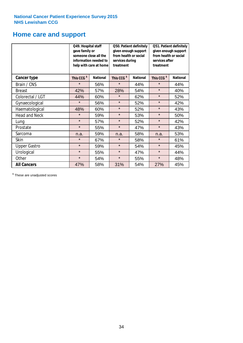## **Home care and support**

|                      | Q49. Hospital staff<br>gave family or                               | someone close all the<br>information needed to<br>help with care at home | from health or social<br>services during<br>treatment | Q50. Patient definitely<br>given enough support | Q51. Patient definitely<br>given enough support<br>from health or social<br>services after<br>treatment |     |  |
|----------------------|---------------------------------------------------------------------|--------------------------------------------------------------------------|-------------------------------------------------------|-------------------------------------------------|---------------------------------------------------------------------------------------------------------|-----|--|
| <b>Cancer type</b>   | This CCG <sup>\$</sup><br><b>National</b><br>This CCG <sup>\$</sup> |                                                                          | <b>National</b>                                       | This CCG <sup>\$</sup>                          | <b>National</b>                                                                                         |     |  |
| Brain / CNS          | $\star$                                                             | 56%                                                                      | $\star$                                               | 44%                                             | $\star$                                                                                                 | 44% |  |
| <b>Breast</b>        | 42%                                                                 | 57%                                                                      | 28%                                                   | 54%                                             | $\star$                                                                                                 | 40% |  |
| Colorectal / LGT     | 44%                                                                 | 60%                                                                      | $\star$                                               | 62%                                             | $\star$                                                                                                 | 52% |  |
| Gynaecological       | $\star$                                                             | 56%                                                                      | $\star$                                               | 52%                                             | $\star$                                                                                                 | 42% |  |
| Haematological       | 48%                                                                 | 60%                                                                      | $\star$                                               | 52%                                             | $\star$                                                                                                 | 43% |  |
| <b>Head and Neck</b> | $\star$                                                             | 59%                                                                      | $\star$                                               | 53%                                             | $\star$                                                                                                 | 50% |  |
| Lung                 | $\star$                                                             | 57%                                                                      | $\star$                                               | 52%                                             | $\star$                                                                                                 | 42% |  |
| Prostate             | $\star$                                                             | 55%                                                                      | $\star$                                               | 47%                                             | $\star$                                                                                                 | 43% |  |
| Sarcoma              | n.a.                                                                | 59%                                                                      | n.a.                                                  | 58%                                             | n.a.                                                                                                    | 53% |  |
| Skin                 | $\star$                                                             | 67%                                                                      | $\star$                                               | 58%                                             | $\star$                                                                                                 | 61% |  |
| <b>Upper Gastro</b>  | $\star$                                                             | 59%                                                                      | $\star$                                               | 54%                                             | $\star$                                                                                                 | 45% |  |
| Urological           | $\star$                                                             | 55%                                                                      | $\star$                                               | 47%                                             | $\star$                                                                                                 | 44% |  |
| Other                | $\star$                                                             | 54%                                                                      | $\star$                                               | 55%                                             | $\star$                                                                                                 | 48% |  |
| <b>All Cancers</b>   | 47%                                                                 | 58%                                                                      | 31%                                                   | 54%                                             | 27%                                                                                                     | 45% |  |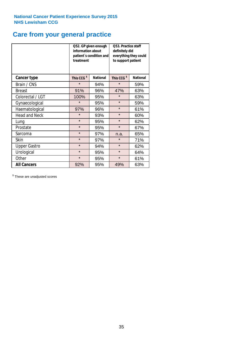## **Care from your general practice**

|                      | information about<br>treatment | Q52. GP given enough<br>patient's condition and | O53. Practice staff<br>definitely did<br>everything they could<br>to support patient |                 |  |
|----------------------|--------------------------------|-------------------------------------------------|--------------------------------------------------------------------------------------|-----------------|--|
| <b>Cancer type</b>   | This CCG <sup>\$</sup>         | <b>National</b>                                 | This CCG <sup>\$</sup>                                                               | <b>National</b> |  |
| Brain / CNS          | $\star$                        | 94%                                             | $\star$                                                                              | 59%             |  |
| <b>Breast</b>        | 91%                            | 96%                                             | 47%                                                                                  | 63%             |  |
| Colorectal / LGT     | 100%                           | 95%                                             | $\star$                                                                              | 63%             |  |
| Gynaecological       | $\star$                        | 95%                                             | $\star$                                                                              | 59%             |  |
| Haematological       | 97%                            | 96%                                             | $\star$                                                                              | 61%             |  |
| <b>Head and Neck</b> | $\star$                        | 93%                                             | $\star$                                                                              | 60%             |  |
| Lung                 | $\star$                        | 95%                                             | $\star$                                                                              | 62%             |  |
| Prostate             | $\star$                        | 95%                                             | $\star$                                                                              | 67%             |  |
| Sarcoma              | $\star$                        | 97%                                             | n.a.                                                                                 | 65%             |  |
| Skin                 | $\star$                        | 97%                                             | $\star$                                                                              | 71%             |  |
| <b>Upper Gastro</b>  | $\star$                        | 94%                                             | $\star$                                                                              | 62%             |  |
| Urological           | $\star$                        | 95%                                             | $\star$                                                                              | 64%             |  |
| Other                | $\star$                        | 95%                                             | $\star$                                                                              | 61%             |  |
| <b>All Cancers</b>   | 92%                            | 95%                                             | 49%                                                                                  | 63%             |  |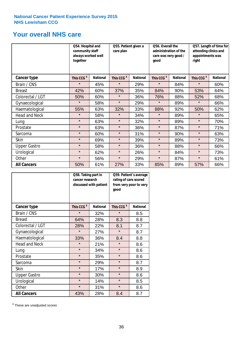## **Your overall NHS care**

|                      | Q54. Hospital and<br>community staff<br>always worked well<br>together |                 | Q55. Patient given a<br>care plan |                 | Q56. Overall the<br>administration of the<br>care was very good /<br>qood |                 | Q57. Length of time for<br>attending clinics and<br>appointments was<br>right |                 |
|----------------------|------------------------------------------------------------------------|-----------------|-----------------------------------|-----------------|---------------------------------------------------------------------------|-----------------|-------------------------------------------------------------------------------|-----------------|
| <b>Cancer type</b>   | This CCG <sup>\$</sup>                                                 | <b>National</b> | This CCG <sup>\$</sup>            | <b>National</b> | This CCG <sup>\$</sup>                                                    | <b>National</b> | This CCG <sup>\$</sup>                                                        | <b>National</b> |
| Brain / CNS          | $\star$                                                                | 45%             | $\star$                           | 29%             | $\star$                                                                   | 84%             | $\star$                                                                       | 60%             |
| <b>Breast</b>        | 42%                                                                    | 60%             | 37%                               | 35%             | 84%                                                                       | 90%             | 53%                                                                           | 64%             |
| Colorectal / LGT     | 50%                                                                    | 60%             | $\star$                           | 36%             | 76%                                                                       | 88%             | 52%                                                                           | 68%             |
| Gynaecological       | $\star$                                                                | 58%             | $\star$                           | 29%             | $\star$                                                                   | 89%             | $\star$                                                                       | 66%             |
| Haematological       | 55%                                                                    | 63%             | 32%                               | 33%             | 88%                                                                       | 92%             | 50%                                                                           | 62%             |
| <b>Head and Neck</b> | $\star$                                                                | 58%             | $\star$                           | 34%             | $\star$                                                                   | 89%             | $\star$                                                                       | 65%             |
| Lung                 | $\star$                                                                | 63%             | $\star$                           | 32%             | $\star$                                                                   | 89%             | $\star$                                                                       | 70%             |
| Prostate             | $\star$                                                                | 63%             | $\star$                           | 36%             | $\star$                                                                   | 87%             | $\star$                                                                       | 71%             |
| Sarcoma              | $\star$                                                                | 60%             | $\star$                           | 31%             | $\star$                                                                   | 90%             | $\star$                                                                       | 63%             |
| Skin                 | $\star$                                                                | 69%             | $\star$                           | 39%             | $\star$                                                                   | 89%             | $\star$                                                                       | 73%             |
| <b>Upper Gastro</b>  | $\star$                                                                | 58%             | $\star$                           | 36%             | $\star$                                                                   | 88%             | $\star$                                                                       | 66%             |
| Urological           | $\star$                                                                | 62%             | $\star$                           | 26%             | $\star$                                                                   | 84%             | $\star$                                                                       | 73%             |
| Other                | $\star$                                                                | 56%             | $\star$                           | 29%             | $\star$                                                                   | 87%             | $\star$                                                                       | 61%             |
| <b>All Cancers</b>   | 50%                                                                    | 61%             | 27%                               | 33%             | 85%                                                                       | 89%             | 57%                                                                           | 66%             |

|                      | Q58. Taking part in<br>cancer research | discussed with patient | Q59. Patient's average<br>rating of care scored<br>from very poor to very<br>good |                 |  |
|----------------------|----------------------------------------|------------------------|-----------------------------------------------------------------------------------|-----------------|--|
| <b>Cancer type</b>   | This CCG <sup>\$</sup>                 | <b>National</b>        | This CCG <sup>\$</sup>                                                            | <b>National</b> |  |
| Brain / CNS          | $\star$                                | 32%                    | $\star$                                                                           | 8.5             |  |
| <b>Breast</b>        | 64%                                    | 28%                    | 8.3                                                                               | 8.8             |  |
| Colorectal / LGT     | 28%                                    | 22%                    | 8.1                                                                               | 8.7             |  |
| Gynaecological       | $\star$                                | 27%                    | $\star$                                                                           | 8.7             |  |
| Haematological       | 33%                                    | 36%                    | 8.4                                                                               | 8.8             |  |
| <b>Head and Neck</b> | $\star$                                | 21%                    | $\star$                                                                           | 8.6             |  |
| Lung                 | $\star$                                | 34%                    | $\star$                                                                           | 8.6             |  |
| Prostate             | $\star$                                | 35%                    | $\star$                                                                           | 8.6             |  |
| Sarcoma              | $\star$                                | 29%                    | $\star$                                                                           | 8.7             |  |
| Skin                 | $\star$                                | 17%                    | $\star$                                                                           | 8.9             |  |
| <b>Upper Gastro</b>  | $\star$                                | 30%                    | $\star$                                                                           | 8.6             |  |
| Urological           | $\star$                                | 14%                    | $\star$                                                                           | 8.5             |  |
| Other                | $\star$                                | 31%                    | $\star$                                                                           | 8.6             |  |
| <b>All Cancers</b>   | 43%                                    | 28%                    | 8.4                                                                               | 8.7             |  |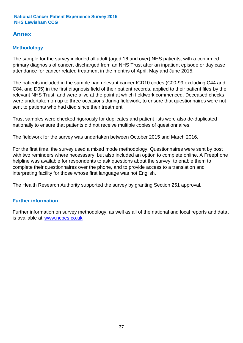## **Annex**

## **Methodology**

The sample for the survey included all adult (aged 16 and over) NHS patients, with a confirmed primary diagnosis of cancer, discharged from an NHS Trust after an inpatient episode or day case attendance for cancer related treatment in the months of April, May and June 2015.

The patients included in the sample had relevant cancer ICD10 codes (C00-99 excluding C44 and C84, and D05) in the first diagnosis field of their patient records, applied to their patient files by the relevant NHS Trust, and were alive at the point at which fieldwork commenced. Deceased checks were undertaken on up to three occasions during fieldwork, to ensure that questionnaires were not sent to patients who had died since their treatment.

Trust samples were checked rigorously for duplicates and patient lists were also de-duplicated nationally to ensure that patients did not receive multiple copies of questionnaires.

The fieldwork for the survey was undertaken between October 2015 and March 2016.

For the first time, the survey used a mixed mode methodology. Questionnaires were sent by post with two reminders where necesssary, but also included an option to complete online. A Freephone helpline was available for respondents to ask questions about the survey, to enable them to complete their questionnaires over the phone, and to provide access to a translation and interpreting facility for those whose first language was not English.

The Health Research Authority supported the survey by granting Section 251 approval.

## **Further information**

Further information on survey methodology, as well as all of the national and local reports and data, is available at www.ncpes.co.uk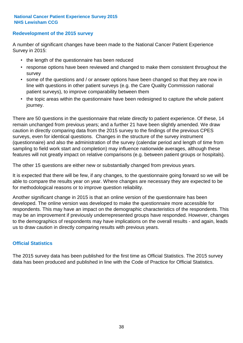### **Redevelopment of the 2015 survey**

A number of significant changes have been made to the National Cancer Patient Experience Survey in 2015:

- the length of the questionnaire has been reduced
- response options have been reviewed and changed to make them consistent throughout the survey
- some of the questions and / or answer options have been changed so that they are now in line with questions in other patient surveys (e.g. the Care Quality Commission national patient surveys), to improve comparability between them
- the topic areas within the questionnaire have been redesigned to capture the whole patient journey.

There are 50 questions in the questionnaire that relate directly to patient experience. Of these, 14 remain unchanged from previous years; and a further 21 have been slightly amended. We draw caution in directly comparing data from the 2015 survey to the findings of the previous CPES surveys, even for identical questions. Changes in the structure of the survey instrument (questionnaire) and also the administration of the survey (calendar period and length of time from sampling to field work start and completion) may influence nationwide averages, although these features will not greatly impact on relative comparisons (e.g. between patient groups or hospitals).

The other 15 questions are either new or substantially changed from previous years.

It is expected that there will be few, if any changes, to the questionnaire going forward so we will be able to compare the results year on year. Where changes are necessary they are expected to be for methodological reasons or to improve question reliability.

Another significant change in 2015 is that an online version of the questionnaire has been developed. The online version was developed to make the questionnaire more accessible for respondents. This may have an impact on the demographic characteristics of the respondents. This may be an improvement if previously underrepresented groups have responded. However, changes to the demographics of respondents may have implications on the overall results - and again, leads us to draw caution in directly comparing results with previous years.

### **Official Statistics**

The 2015 survey data has been published for the first time as Official Statistics. The 2015 survey data has been produced and published in line with the Code of Practice for Official Statistics.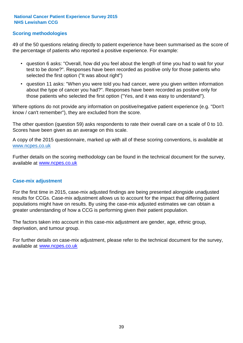### **Scoring methodologies**

49 of the 50 questions relating directly to patient experience have been summarised as the score of the percentage of patients who reported a positive experience. For example:

- question 6 asks: "Overall, how did you feel about the length of time you had to wait for your test to be done?". Responses have been recorded as positive only for those patients who selected the first option ("It was about right")
- question 11 asks: "When you were told you had cancer, were you given written information about the type of cancer you had?". Responses have been recorded as positive only for those patients who selected the first option ("Yes, and it was easy to understand").

Where options do not provide any information on positive/negative patient experience (e.g. "Don't know / can't remember"), they are excluded from the score.

The other question (question 59) asks respondents to rate their overall care on a scale of 0 to 10. Scores have been given as an average on this scale.

A copy of the 2015 questionnaire, marked up with all of these scoring conventions, is available at www.ncpes.co.uk

Further details on the scoring methodology can be found in the technical document for the survey, available at <u>www.ncpes.co.uk</u>

#### **Case-mix adjustment**

For the first time in 2015, case-mix adjusted findings are being presented alongside unadjusted results for CCGs. Case-mix adjustment allows us to account for the impact that differing patient populations might have on results. By using the case-mix adjusted estimates we can obtain a greater understanding of how a CCG is performing given their patient population.

The factors taken into account in this case-mix adjustment are gender, age, ethnic group, deprivation, and tumour group.

For further details on case-mix adjustment, please refer to the technical document for the survey, available at www.ncpes.co.uk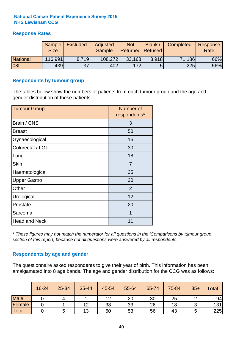## **Response Rates**

|                 | Sample      | <b>Excluded</b> | Adjusted      | <b>Not</b>              | Blank / | Completed | Response |
|-----------------|-------------|-----------------|---------------|-------------------------|---------|-----------|----------|
|                 | <b>Size</b> |                 | <b>Sample</b> | <b>Returned Refused</b> |         |           | Rate     |
| <b>National</b> | 116,991     | 8.719           | 108,272       | 33,168                  | 3.918   | 71,186    | 66%      |
| <b>08L</b>      | 439         | 37              | 402           | <b>1721</b>             |         | 225       | 56%      |

#### **Respondents by tumour group**

The tables below show the numbers of patients from each tumour group and the age and gender distribution of these patients.

| <b>Tumour Group</b>  | Number of<br>respondents* |
|----------------------|---------------------------|
| Brain / CNS          | 3                         |
| <b>Breast</b>        | 50                        |
| Gynaecological       | 16                        |
| Colorectal / LGT     | 30                        |
| Lung                 | 18                        |
| <b>Skin</b>          | 7                         |
| Haematological       | 35                        |
| <b>Upper Gastro</b>  | 20                        |
| Other                | 2                         |
| Urological           | 12                        |
| Prostate             | 20                        |
| Sarcoma              | 1                         |
| <b>Head and Neck</b> | 11                        |

*\* These figures may not match the numerator for all questions in the 'Comparisons by tumour group' section of this report, because not all questions were answered by all respondents.*

### **Respondents by age and gender**

The questionnaire asked respondents to give their year of birth. This information has been amalgamated into 8 age bands. The age and gender distribution for the CCG was as follows:

|             | 16-24 | 25-34 | 35-44 | 45-54 | 55-64 | 65-74 | 75-84 | $85+$ | Total |
|-------------|-------|-------|-------|-------|-------|-------|-------|-------|-------|
| <b>Male</b> |       |       |       | 12    | 20    | 30    | 25    |       | 94    |
| Female      |       |       | 12    | 38    | 33    | 26    | 18    |       | 131   |
| Total       |       |       | 13    | 50    | 53    | 56    | 43    |       | 225   |